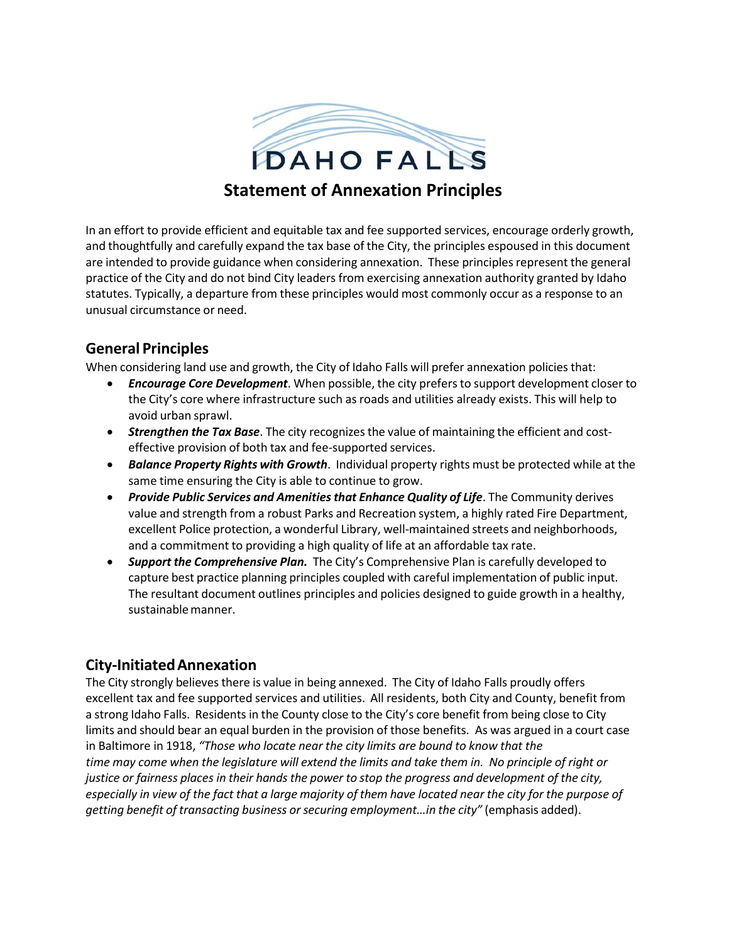

In an effort to provide efficient and equitable tax and fee supported services, encourage orderly growth, and thoughtfully and carefully expand the tax base of the City, the principles espoused in this document are intended to provide guidance when considering annexation. These principles represent the general practice of the City and do not bind City leaders from exercising annexation authority granted by Idaho statutes. Typically, a departure from these principles would most commonly occur as a response to an unusual circumstance or need.

# **General Principles**

When considering land use and growth, the City of Idaho Falls will prefer annexation policies that:

- *Encourage Core Development*. When possible, the city prefersto support development closer to the City's core where infrastructure such as roads and utilities already exists. This will help to avoid urban sprawl.
- **Strengthen the Tax Base**. The city recognizes the value of maintaining the efficient and costeffective provision of both tax and fee‐supported services.
- *Balance Property Rights with Growth*. Individual property rights must be protected while at the same time ensuring the City is able to continue to grow.
- *Provide Public Services and Amenitiesthat Enhance Quality of Life*. The Community derives value and strength from a robust Parks and Recreation system, a highly rated Fire Department, excellent Police protection, a wonderful Library, well‐maintained streets and neighborhoods, and a commitment to providing a high quality of life at an affordable tax rate.
- *Support the Comprehensive Plan.* The City's Comprehensive Plan is carefully developed to capture best practice planning principles coupled with careful implementation of public input. The resultant document outlines principles and policies designed to guide growth in a healthy, sustainable manner.

# **City‐InitiatedAnnexation**

The City strongly believes there is value in being annexed. The City of Idaho Falls proudly offers excellent tax and fee supported services and utilities. All residents, both City and County, benefit from a strong Idaho Falls. Residents in the County close to the City's core benefit from being close to City limits and should bear an equal burden in the provision of those benefits. As was argued in a court case in Baltimore in 1918, *"Those who locate near the city limits are bound to know that the* time may come when the legislature will extend the limits and take them in. No principle of right or justice or fairness places in their hands the power to stop the progress and development of the city, especially in view of the fact that a large majority of them have located near the city for the purpose of *getting benefit of transacting business orsecuring employment…in the city"* (emphasis added).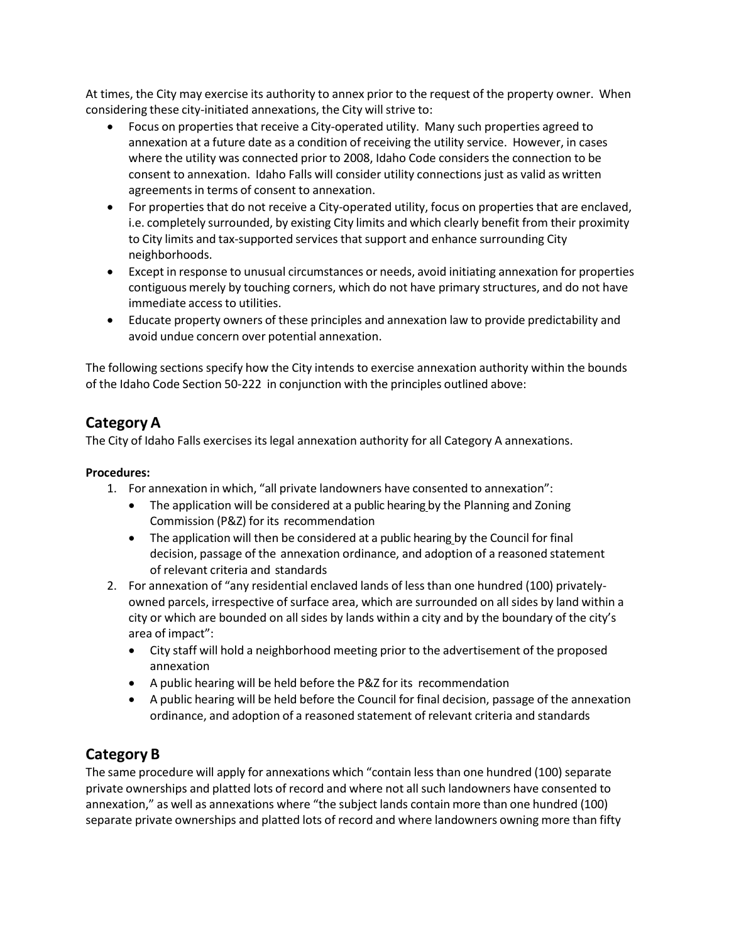At times, the City may exercise its authority to annex prior to the request of the property owner. When considering these city-initiated annexations, the City will strive to:

- Focus on properties that receive a City‐operated utility. Many such properties agreed to annexation at a future date as a condition of receiving the utility service. However, in cases where the utility was connected prior to 2008, Idaho Code considers the connection to be consent to annexation. Idaho Falls will consider utility connections just as valid as written agreements in terms of consent to annexation.
- For properties that do not receive a City-operated utility, focus on properties that are enclaved, i.e. completely surrounded, by existing City limits and which clearly benefit from their proximity to City limits and tax‐supported services that support and enhance surrounding City neighborhoods.
- Except in response to unusual circumstances or needs, avoid initiating annexation for properties contiguous merely by touching corners, which do not have primary structures, and do not have immediate access to utilities.
- Educate property owners of these principles and annexation law to provide predictability and avoid undue concern over potential annexation.

The following sections specify how the City intends to exercise annexation authority within the bounds of the Idaho Code Section 50‐222 in conjunction with the principles outlined above:

#### **Category A**

The City of Idaho Falls exercises its legal annexation authority for all Category A annexations.

#### **Procedures:**

1. For annexation in which, "all private landowners have consented to annexation":

- The application will be considered at a public hearing by the Planning and Zoning Commission (P&Z) for its recommendation
- The application will then be considered at a public hearing by the Council for final decision, passage of the annexation ordinance, and adoption of a reasoned statement of relevant criteria and standards
- 2. For annexation of "any residential enclaved lands of less than one hundred (100) privately‐ owned parcels, irrespective of surface area, which are surrounded on all sides by land within a city or which are bounded on all sides by lands within a city and by the boundary of the city's area of impact":
	- City staff will hold a neighborhood meeting prior to the advertisement of the proposed annexation
	- A public hearing will be held before the P&Z for its recommendation
	- A public hearing will be held before the Council for final decision, passage of the annexation ordinance, and adoption of a reasoned statement of relevant criteria and standards

# **Category B**

The same procedure will apply for annexations which "contain less than one hundred (100) separate private ownerships and platted lots of record and where not allsuch landowners have consented to annexation," as well as annexations where "the subject lands contain more than one hundred (100) separate private ownerships and platted lots of record and where landowners owning more than fifty